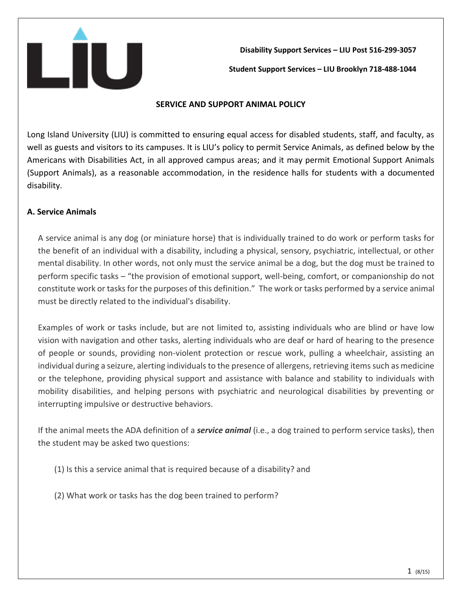

**Disability Support Services – LIU Post 516-299-3057 Student Support Services – LIU Brooklyn 718-488-1044**

#### **SERVICE AND SUPPORT ANIMAL POLICY**

Long Island University (LIU) is committed to ensuring equal access for disabled students, staff, and faculty, as well as guests and visitors to its campuses. It is LIU's policy to permit Service Animals, as defined below by the Americans with Disabilities Act, in all approved campus areas; and it may permit Emotional Support Animals (Support Animals), as a reasonable accommodation, in the residence halls for students with a documented disability.

## **A. Service Animals**

A service animal is any dog (or miniature horse) that is individually trained to do work or perform tasks for the benefit of an individual with a disability, including a physical, sensory, psychiatric, intellectual, or other mental disability. In other words, not only must the service animal be a dog, but the dog must be trained to perform specific tasks – "the provision of emotional support, well-being, comfort, or companionship do not constitute work or tasks for the purposes of this definition." The work or tasks performed by a service animal must be directly related to the individual's disability.

Examples of work or tasks include, but are not limited to, assisting individuals who are blind or have low vision with navigation and other tasks, alerting individuals who are deaf or hard of hearing to the presence of people or sounds, providing non-violent protection or rescue work, pulling a wheelchair, assisting an individual during a seizure, alerting individuals to the presence of allergens, retrieving items such as medicine or the telephone, providing physical support and assistance with balance and stability to individuals with mobility disabilities, and helping persons with psychiatric and neurological disabilities by preventing or interrupting impulsive or destructive behaviors.

If the animal meets the ADA definition of a *service animal* (i.e., a dog trained to perform service tasks), then the student may be asked two questions:

- (1) Is this a service animal that is required because of a disability? and
- (2) What work or tasks has the dog been trained to perform?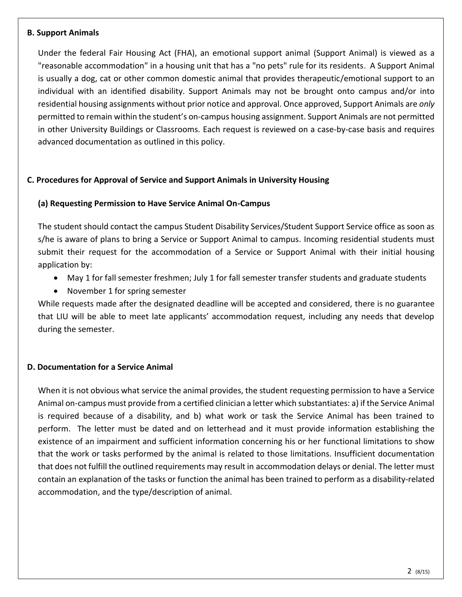### **B. Support Animals**

Under the federal Fair Housing Act (FHA), an emotional support animal (Support Animal) is viewed as a "reasonable accommodation" in a housing unit that has a "no pets" rule for its residents. A Support Animal is usually a dog, cat or other common domestic animal that provides therapeutic/emotional support to an individual with an identified disability. Support Animals may not be brought onto campus and/or into residential housing assignments without prior notice and approval. Once approved, Support Animals are *only* permitted to remain within the student's on‐campus housing assignment. Support Animals are not permitted in other University Buildings or Classrooms. Each request is reviewed on a case‐by‐case basis and requires advanced documentation as outlined in this policy.

## **C. Procedures for Approval of Service and Support Animals in University Housing**

### **(a) Requesting Permission to Have Service Animal On-Campus**

The student should contact the campus Student Disability Services/Student Support Service office as soon as s/he is aware of plans to bring a Service or Support Animal to campus. Incoming residential students must submit their request for the accommodation of a Service or Support Animal with their initial housing application by:

- May 1 for fall semester freshmen; July 1 for fall semester transfer students and graduate students
- November 1 for spring semester

While requests made after the designated deadline will be accepted and considered, there is no guarantee that LIU will be able to meet late applicants' accommodation request, including any needs that develop during the semester.

#### **D. Documentation for a Service Animal**

When it is not obvious what service the animal provides, the student requesting permission to have a Service Animal on-campus must provide from a certified clinician a letter which substantiates: a) if the Service Animal is required because of a disability, and b) what work or task the Service Animal has been trained to perform. The letter must be dated and on letterhead and it must provide information establishing the existence of an impairment and sufficient information concerning his or her functional limitations to show that the work or tasks performed by the animal is related to those limitations. Insufficient documentation that does not fulfill the outlined requirements may result in accommodation delays or denial. The letter must contain an explanation of the tasks or function the animal has been trained to perform as a disability-related accommodation, and the type/description of animal.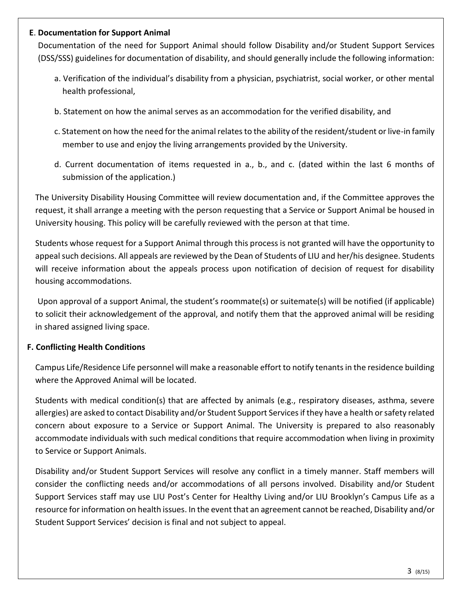### **E**. **Documentation for Support Animal**

Documentation of the need for Support Animal should follow Disability and/or Student Support Services (DSS/SSS) guidelines for documentation of disability, and should generally include the following information:

- a. Verification of the individual's disability from a physician, psychiatrist, social worker, or other mental health professional,
- b. Statement on how the animal serves as an accommodation for the verified disability, and
- c. Statement on how the need for the animal relates to the ability of the resident/student or live-in family member to use and enjoy the living arrangements provided by the University.
- d. Current documentation of items requested in a., b., and c. (dated within the last 6 months of submission of the application.)

The University Disability Housing Committee will review documentation and, if the Committee approves the request, it shall arrange a meeting with the person requesting that a Service or Support Animal be housed in University housing. This policy will be carefully reviewed with the person at that time.

Students whose request for a Support Animal through this process is not granted will have the opportunity to appeal such decisions. All appeals are reviewed by the Dean of Students of LIU and her/his designee. Students will receive information about the appeals process upon notification of decision of request for disability housing accommodations.

Upon approval of a support Animal, the student's roommate(s) or suitemate(s) will be notified (if applicable) to solicit their acknowledgement of the approval, and notify them that the approved animal will be residing in shared assigned living space.

## **F. Conflicting Health Conditions**

Campus Life/Residence Life personnel will make a reasonable effort to notify tenants in the residence building where the Approved Animal will be located.

Students with medical condition(s) that are affected by animals (e.g., respiratory diseases, asthma, severe allergies) are asked to contact Disability and/or Student Support Services if they have a health or safety related concern about exposure to a Service or Support Animal. The University is prepared to also reasonably accommodate individuals with such medical conditions that require accommodation when living in proximity to Service or Support Animals.

Disability and/or Student Support Services will resolve any conflict in a timely manner. Staff members will consider the conflicting needs and/or accommodations of all persons involved. Disability and/or Student Support Services staff may use LIU Post's Center for Healthy Living and/or LIU Brooklyn's Campus Life as a resource for information on health issues. In the event that an agreement cannot be reached, Disability and/or Student Support Services' decision is final and not subject to appeal.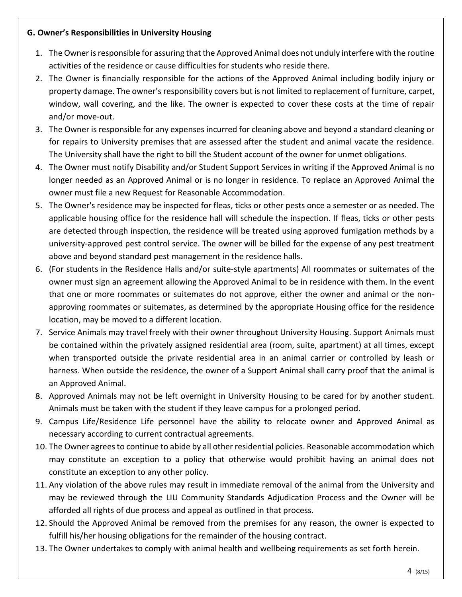## **G. Owner's Responsibilities in University Housing**

- 1. The Owner is responsible for assuring that the Approved Animal does not unduly interfere with the routine activities of the residence or cause difficulties for students who reside there.
- 2. The Owner is financially responsible for the actions of the Approved Animal including bodily injury or property damage. The owner's responsibility covers but is not limited to replacement of furniture, carpet, window, wall covering, and the like. The owner is expected to cover these costs at the time of repair and/or move-out.
- 3. The Owner is responsible for any expenses incurred for cleaning above and beyond a standard cleaning or for repairs to University premises that are assessed after the student and animal vacate the residence. The University shall have the right to bill the Student account of the owner for unmet obligations.
- 4. The Owner must notify Disability and/or Student Support Services in writing if the Approved Animal is no longer needed as an Approved Animal or is no longer in residence. To replace an Approved Animal the owner must file a new Request for Reasonable Accommodation.
- 5. The Owner's residence may be inspected for fleas, ticks or other pests once a semester or as needed. The applicable housing office for the residence hall will schedule the inspection. If fleas, ticks or other pests are detected through inspection, the residence will be treated using approved fumigation methods by a university-approved pest control service. The owner will be billed for the expense of any pest treatment above and beyond standard pest management in the residence halls.
- 6. (For students in the Residence Halls and/or suite-style apartments) All roommates or suitemates of the owner must sign an agreement allowing the Approved Animal to be in residence with them. In the event that one or more roommates or suitemates do not approve, either the owner and animal or the nonapproving roommates or suitemates, as determined by the appropriate Housing office for the residence location, may be moved to a different location.
- 7. Service Animals may travel freely with their owner throughout University Housing. Support Animals must be contained within the privately assigned residential area (room, suite, apartment) at all times, except when transported outside the private residential area in an animal carrier or controlled by leash or harness. When outside the residence, the owner of a Support Animal shall carry proof that the animal is an Approved Animal.
- 8. Approved Animals may not be left overnight in University Housing to be cared for by another student. Animals must be taken with the student if they leave campus for a prolonged period.
- 9. Campus Life/Residence Life personnel have the ability to relocate owner and Approved Animal as necessary according to current contractual agreements.
- 10. The Owner agrees to continue to abide by all other residential policies. Reasonable accommodation which may constitute an exception to a policy that otherwise would prohibit having an animal does not constitute an exception to any other policy.
- 11. Any violation of the above rules may result in immediate removal of the animal from the University and may be reviewed through the LIU Community Standards Adjudication Process and the Owner will be afforded all rights of due process and appeal as outlined in that process.
- 12. Should the Approved Animal be removed from the premises for any reason, the owner is expected to fulfill his/her housing obligations for the remainder of the housing contract.
- 13. The Owner undertakes to comply with animal health and wellbeing requirements as set forth herein.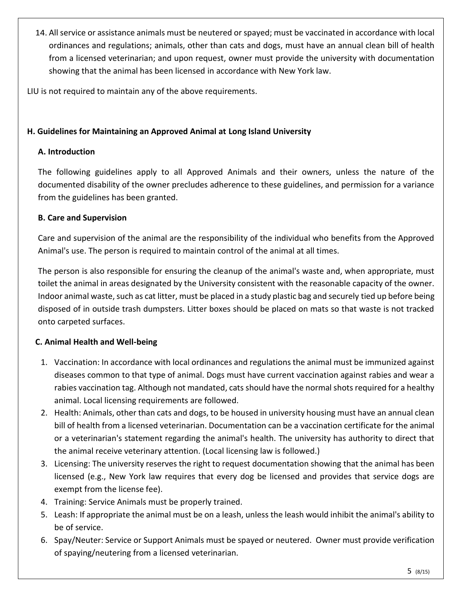14. All service or assistance animals must be neutered or spayed; must be vaccinated in accordance with local ordinances and regulations; animals, other than cats and dogs, must have an annual clean bill of health from a licensed veterinarian; and upon request, owner must provide the university with documentation showing that the animal has been licensed in accordance with New York law.

LIU is not required to maintain any of the above requirements.

## **H. Guidelines for Maintaining an Approved Animal at Long Island University**

## **A. Introduction**

The following guidelines apply to all Approved Animals and their owners, unless the nature of the documented disability of the owner precludes adherence to these guidelines, and permission for a variance from the guidelines has been granted.

## **B. Care and Supervision**

Care and supervision of the animal are the responsibility of the individual who benefits from the Approved Animal's use. The person is required to maintain control of the animal at all times.

The person is also responsible for ensuring the cleanup of the animal's waste and, when appropriate, must toilet the animal in areas designated by the University consistent with the reasonable capacity of the owner. Indoor animal waste, such as cat litter, must be placed in a study plastic bag and securely tied up before being disposed of in outside trash dumpsters. Litter boxes should be placed on mats so that waste is not tracked onto carpeted surfaces.

# **C. Animal Health and Well-being**

- 1. Vaccination: In accordance with local ordinances and regulations the animal must be immunized against diseases common to that type of animal. Dogs must have current vaccination against rabies and wear a rabies vaccination tag. Although not mandated, cats should have the normal shots required for a healthy animal. Local licensing requirements are followed.
- 2. Health: Animals, other than cats and dogs, to be housed in university housing must have an annual clean bill of health from a licensed veterinarian. Documentation can be a vaccination certificate for the animal or a veterinarian's statement regarding the animal's health. The university has authority to direct that the animal receive veterinary attention. (Local licensing law is followed.)
- 3. Licensing: The university reserves the right to request documentation showing that the animal has been licensed (e.g., New York law requires that every dog be licensed and provides that service dogs are exempt from the license fee).
- 4. Training: Service Animals must be properly trained.
- 5. Leash: If appropriate the animal must be on a leash, unless the leash would inhibit the animal's ability to be of service.
- 6. Spay/Neuter: Service or Support Animals must be spayed or neutered. Owner must provide verification of spaying/neutering from a licensed veterinarian.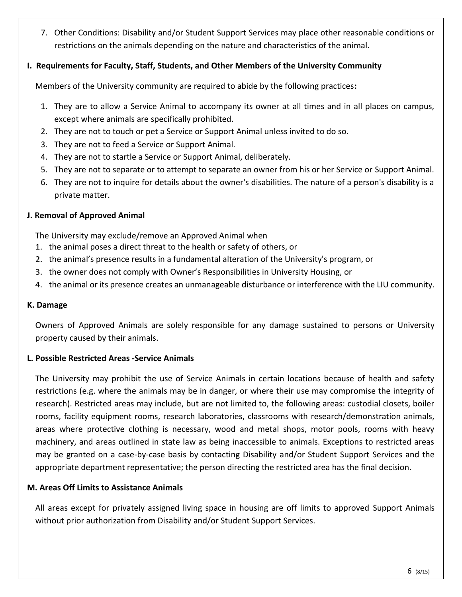7. Other Conditions: Disability and/or Student Support Services may place other reasonable conditions or restrictions on the animals depending on the nature and characteristics of the animal.

### **I. Requirements for Faculty, Staff, Students, and Other Members of the University Community**

Members of the University community are required to abide by the following practices**:** 

- 1. They are to allow a Service Animal to accompany its owner at all times and in all places on campus, except where animals are specifically prohibited.
- 2. They are not to touch or pet a Service or Support Animal unless invited to do so.
- 3. They are not to feed a Service or Support Animal.
- 4. They are not to startle a Service or Support Animal, deliberately.
- 5. They are not to separate or to attempt to separate an owner from his or her Service or Support Animal.
- 6. They are not to inquire for details about the owner's disabilities. The nature of a person's disability is a private matter.

### **J. Removal of Approved Animal**

The University may exclude/remove an Approved Animal when

- 1. the animal poses a direct threat to the health or safety of others, or
- 2. the animal's presence results in a fundamental alteration of the University's program, or
- 3. the owner does not comply with Owner's Responsibilities in University Housing, or
- 4. the animal or its presence creates an unmanageable disturbance or interference with the LIU community.

#### **K. Damage**

Owners of Approved Animals are solely responsible for any damage sustained to persons or University property caused by their animals.

## **L. Possible Restricted Areas -Service Animals**

The University may prohibit the use of Service Animals in certain locations because of health and safety restrictions (e.g. where the animals may be in danger, or where their use may compromise the integrity of research). Restricted areas may include, but are not limited to, the following areas: custodial closets, boiler rooms, facility equipment rooms, research laboratories, classrooms with research/demonstration animals, areas where protective clothing is necessary, wood and metal shops, motor pools, rooms with heavy machinery, and areas outlined in state law as being inaccessible to animals. Exceptions to restricted areas may be granted on a case-by-case basis by contacting Disability and/or Student Support Services and the appropriate department representative; the person directing the restricted area has the final decision.

## **M. Areas Off Limits to Assistance Animals**

All areas except for privately assigned living space in housing are off limits to approved Support Animals without prior authorization from Disability and/or Student Support Services.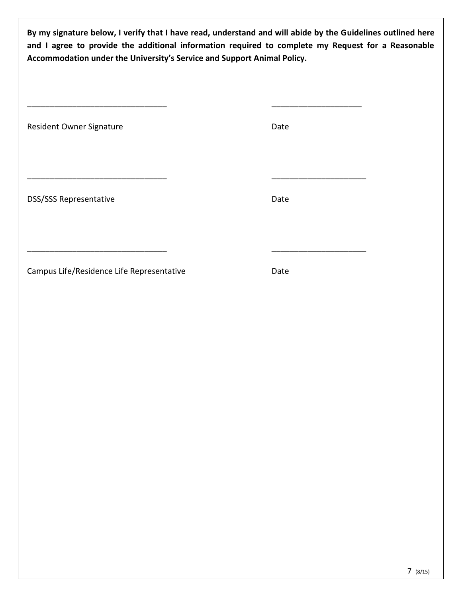**By my signature below, I verify that I have read, understand and will abide by the Guidelines outlined here and I agree to provide the additional information required to complete my Request for a Reasonable Accommodation under the University's Service and Support Animal Policy.** 

| Resident Owner Signature      | Date |
|-------------------------------|------|
| <b>DSS/SSS Representative</b> | Date |
|                               |      |

\_\_\_\_\_\_\_\_\_\_\_\_\_\_\_\_\_\_\_\_\_\_\_\_\_\_\_\_\_\_\_ \_\_\_\_\_\_\_\_\_\_\_\_\_\_\_\_\_\_\_\_

Campus Life/Residence Life Representative Date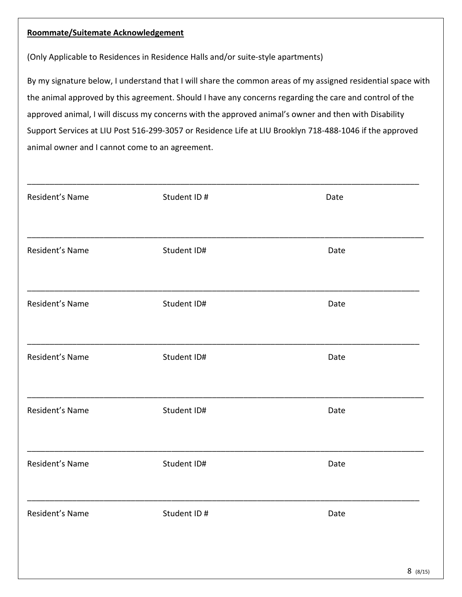#### **Roommate/Suitemate Acknowledgement**

(Only Applicable to Residences in Residence Halls and/or suite-style apartments)

By my signature below, I understand that I will share the common areas of my assigned residential space with the animal approved by this agreement. Should I have any concerns regarding the care and control of the approved animal, I will discuss my concerns with the approved animal's owner and then with Disability Support Services at LIU Post 516-299-3057 or Residence Life at LIU Brooklyn 718-488-1046 if the approved animal owner and I cannot come to an agreement.

| Resident's Name | Student ID# | Date |
|-----------------|-------------|------|
|                 |             |      |
| Resident's Name | Student ID# | Date |
|                 |             |      |
| Resident's Name | Student ID# | Date |
|                 |             |      |
| Resident's Name | Student ID# | Date |
|                 |             |      |
| Resident's Name | Student ID# | Date |
|                 |             |      |
| Resident's Name | Student ID# | Date |
|                 |             |      |
| Resident's Name | Student ID# | Date |
|                 |             |      |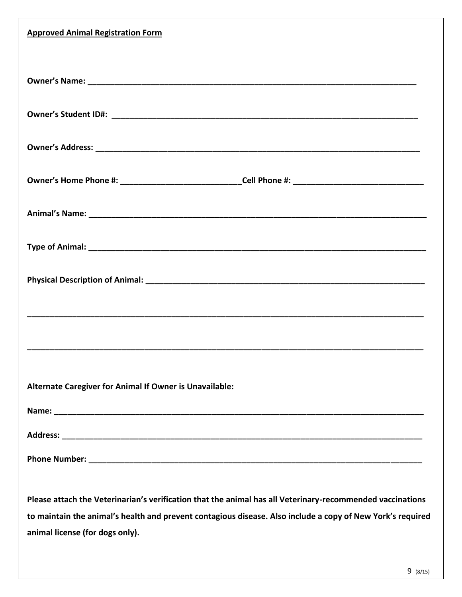| <b>Approved Animal Registration Form</b>                                                                                                                                                                                                                   |
|------------------------------------------------------------------------------------------------------------------------------------------------------------------------------------------------------------------------------------------------------------|
|                                                                                                                                                                                                                                                            |
|                                                                                                                                                                                                                                                            |
|                                                                                                                                                                                                                                                            |
| Owner's Home Phone #: _______________________________Cell Phone #: _________________________________                                                                                                                                                       |
|                                                                                                                                                                                                                                                            |
|                                                                                                                                                                                                                                                            |
|                                                                                                                                                                                                                                                            |
|                                                                                                                                                                                                                                                            |
|                                                                                                                                                                                                                                                            |
| Alternate Caregiver for Animal If Owner is Unavailable:                                                                                                                                                                                                    |
|                                                                                                                                                                                                                                                            |
|                                                                                                                                                                                                                                                            |
|                                                                                                                                                                                                                                                            |
| Please attach the Veterinarian's verification that the animal has all Veterinary-recommended vaccinations<br>to maintain the animal's health and prevent contagious disease. Also include a copy of New York's required<br>animal license (for dogs only). |
|                                                                                                                                                                                                                                                            |